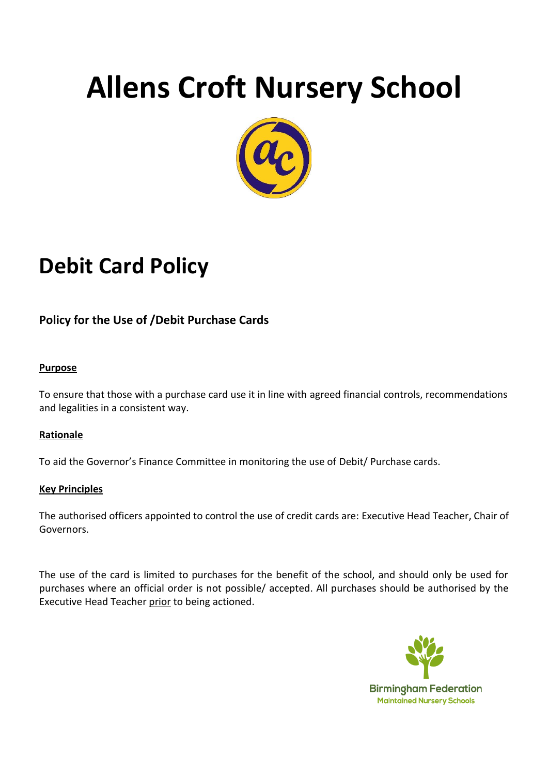# **Allens Croft Nursery School**



## **Debit Card Policy**

## **Policy for the Use of /Debit Purchase Cards**

#### **Purpose**

To ensure that those with a purchase card use it in line with agreed financial controls, recommendations and legalities in a consistent way.

#### **Rationale**

To aid the Governor's Finance Committee in monitoring the use of Debit/ Purchase cards.

#### **Key Principles**

The authorised officers appointed to control the use of credit cards are: Executive Head Teacher, Chair of Governors.

The use of the card is limited to purchases for the benefit of the school, and should only be used for purchases where an official order is not possible/ accepted. All purchases should be authorised by the Executive Head Teacher prior to being actioned.

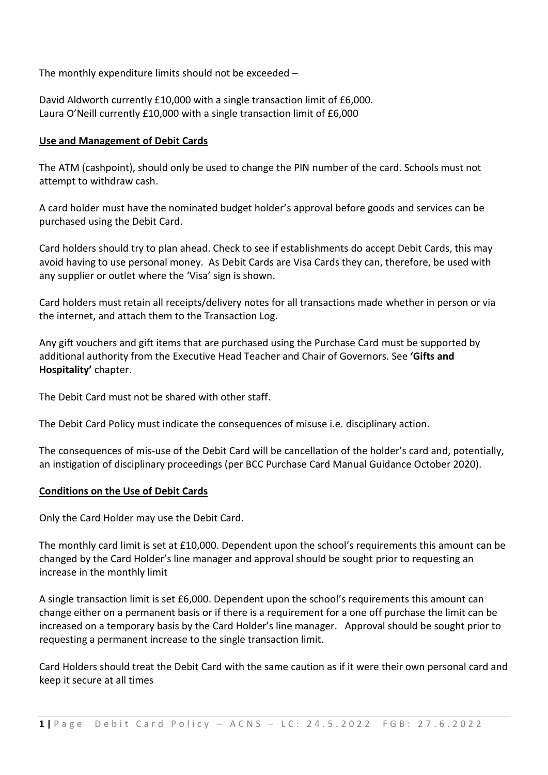The monthly expenditure limits should not be exceeded –

David Aldworth currently £10,000 with a single transaction limit of £6,000. Laura O'Neill currently £10,000 with a single transaction limit of £6,000

#### **Use and Management of Debit Cards**

The ATM (cashpoint), should only be used to change the PIN number of the card. Schools must not attempt to withdraw cash.

A card holder must have the nominated budget holder's approval before goods and services can be purchased using the Debit Card.

Card holders should try to plan ahead. Check to see if establishments do accept Debit Cards, this may avoid having to use personal money. As Debit Cards are Visa Cards they can, therefore, be used with any supplier or outlet where the 'Visa' sign is shown.

Card holders must retain all receipts/delivery notes for all transactions made whether in person or via the internet, and attach them to the Transaction Log.

Any gift vouchers and gift items that are purchased using the Purchase Card must be supported by additional authority from the Executive Head Teacher and Chair of Governors. See **'Gifts and Hospitality'** chapter.

The Debit Card must not be shared with other staff.

The Debit Card Policy must indicate the consequences of misuse i.e. disciplinary action.

The consequences of mis-use of the Debit Card will be cancellation of the holder's card and, potentially, an instigation of disciplinary proceedings (per BCC Purchase Card Manual Guidance October 2020).

#### **Conditions on the Use of Debit Cards**

Only the Card Holder may use the Debit Card.

The monthly card limit is set at £10,000. Dependent upon the school's requirements this amount can be changed by the Card Holder's line manager and approval should be sought prior to requesting an increase in the monthly limit

A single transaction limit is set £6,000. Dependent upon the school's requirements this amount can change either on a permanent basis or if there is a requirement for a one off purchase the limit can be increased on a temporary basis by the Card Holder's line manager. Approval should be sought prior to requesting a permanent increase to the single transaction limit.

Card Holders should treat the Debit Card with the same caution as if it were their own personal card and keep it secure at all times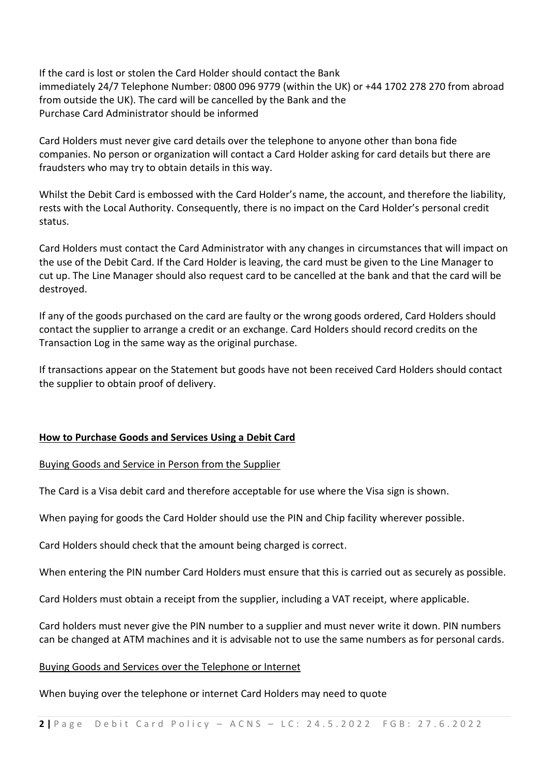If the card is lost or stolen the Card Holder should contact the Bank immediately 24/7 Telephone Number: 0800 096 9779 (within the UK) or +44 1702 278 270 from abroad from outside the UK). The card will be cancelled by the Bank and the Purchase Card Administrator should be informed

Card Holders must never give card details over the telephone to anyone other than bona fide companies. No person or organization will contact a Card Holder asking for card details but there are fraudsters who may try to obtain details in this way.

Whilst the Debit Card is embossed with the Card Holder's name, the account, and therefore the liability, rests with the Local Authority. Consequently, there is no impact on the Card Holder's personal credit status.

Card Holders must contact the Card Administrator with any changes in circumstances that will impact on the use of the Debit Card. If the Card Holder is leaving, the card must be given to the Line Manager to cut up. The Line Manager should also request card to be cancelled at the bank and that the card will be destroyed.

If any of the goods purchased on the card are faulty or the wrong goods ordered, Card Holders should contact the supplier to arrange a credit or an exchange. Card Holders should record credits on the Transaction Log in the same way as the original purchase.

If transactions appear on the Statement but goods have not been received Card Holders should contact the supplier to obtain proof of delivery.

#### **How to Purchase Goods and Services Using a Debit Card**

#### Buying Goods and Service in Person from the Supplier

The Card is a Visa debit card and therefore acceptable for use where the Visa sign is shown.

When paying for goods the Card Holder should use the PIN and Chip facility wherever possible.

Card Holders should check that the amount being charged is correct.

When entering the PIN number Card Holders must ensure that this is carried out as securely as possible.

Card Holders must obtain a receipt from the supplier, including a VAT receipt, where applicable.

Card holders must never give the PIN number to a supplier and must never write it down. PIN numbers can be changed at ATM machines and it is advisable not to use the same numbers as for personal cards.

#### Buying Goods and Services over the Telephone or Internet

When buying over the telephone or internet Card Holders may need to quote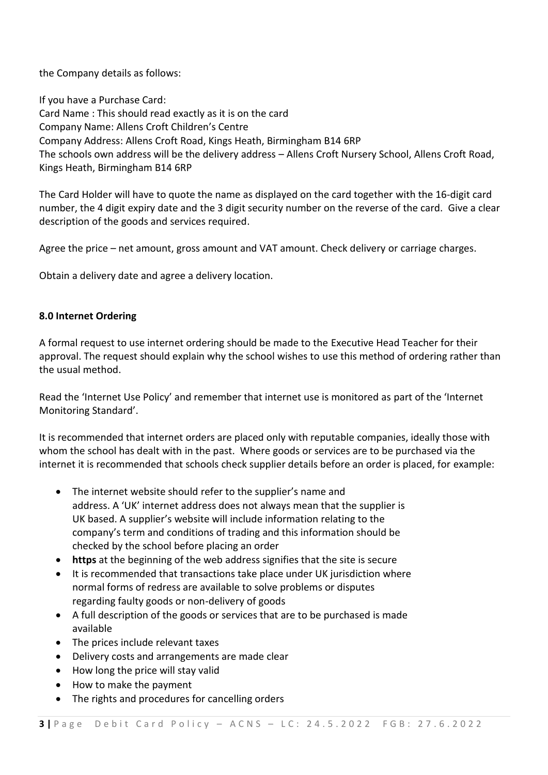the Company details as follows:

If you have a Purchase Card: Card Name : This should read exactly as it is on the card Company Name: Allens Croft Children's Centre Company Address: Allens Croft Road, Kings Heath, Birmingham B14 6RP The schools own address will be the delivery address – Allens Croft Nursery School, Allens Croft Road, Kings Heath, Birmingham B14 6RP

The Card Holder will have to quote the name as displayed on the card together with the 16-digit card number, the 4 digit expiry date and the 3 digit security number on the reverse of the card. Give a clear description of the goods and services required.

Agree the price – net amount, gross amount and VAT amount. Check delivery or carriage charges.

Obtain a delivery date and agree a delivery location.

#### **8.0 Internet Ordering**

A formal request to use internet ordering should be made to the Executive Head Teacher for their approval. The request should explain why the school wishes to use this method of ordering rather than the usual method.

Read the 'Internet Use Policy' and remember that internet use is monitored as part of the 'Internet Monitoring Standard'.

It is recommended that internet orders are placed only with reputable companies, ideally those with whom the school has dealt with in the past. Where goods or services are to be purchased via the internet it is recommended that schools check supplier details before an order is placed, for example:

- The internet website should refer to the supplier's name and address. A 'UK' internet address does not always mean that the supplier is UK based. A supplier's website will include information relating to the company's term and conditions of trading and this information should be checked by the school before placing an order
- **https** at the beginning of the web address signifies that the site is secure
- It is recommended that transactions take place under UK jurisdiction where normal forms of redress are available to solve problems or disputes regarding faulty goods or non-delivery of goods
- A full description of the goods or services that are to be purchased is made available
- The prices include relevant taxes
- Delivery costs and arrangements are made clear
- How long the price will stay valid
- How to make the payment
- The rights and procedures for cancelling orders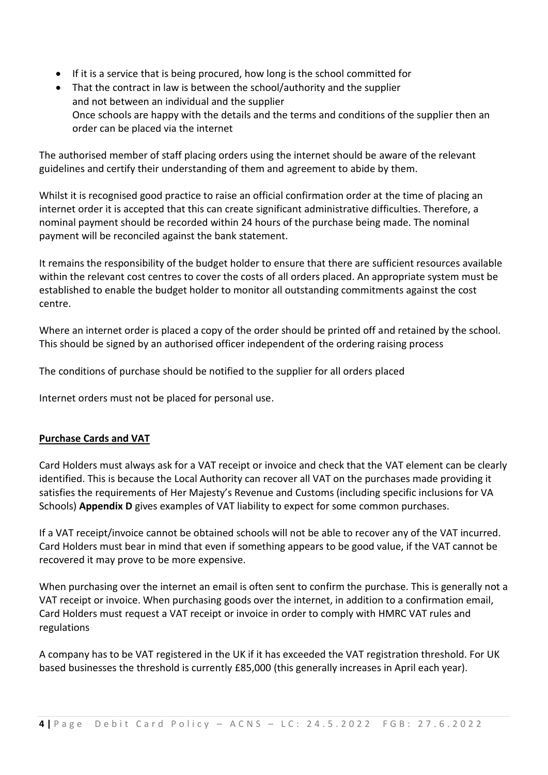- If it is a service that is being procured, how long is the school committed for
- That the contract in law is between the school/authority and the supplier and not between an individual and the supplier Once schools are happy with the details and the terms and conditions of the supplier then an order can be placed via the internet

The authorised member of staff placing orders using the internet should be aware of the relevant guidelines and certify their understanding of them and agreement to abide by them.

Whilst it is recognised good practice to raise an official confirmation order at the time of placing an internet order it is accepted that this can create significant administrative difficulties. Therefore, a nominal payment should be recorded within 24 hours of the purchase being made. The nominal payment will be reconciled against the bank statement.

It remains the responsibility of the budget holder to ensure that there are sufficient resources available within the relevant cost centres to cover the costs of all orders placed. An appropriate system must be established to enable the budget holder to monitor all outstanding commitments against the cost centre.

Where an internet order is placed a copy of the order should be printed off and retained by the school. This should be signed by an authorised officer independent of the ordering raising process

The conditions of purchase should be notified to the supplier for all orders placed

Internet orders must not be placed for personal use.

#### **Purchase Cards and VAT**

Card Holders must always ask for a VAT receipt or invoice and check that the VAT element can be clearly identified. This is because the Local Authority can recover all VAT on the purchases made providing it satisfies the requirements of Her Majesty's Revenue and Customs (including specific inclusions for VA Schools) **Appendix D** gives examples of VAT liability to expect for some common purchases.

If a VAT receipt/invoice cannot be obtained schools will not be able to recover any of the VAT incurred. Card Holders must bear in mind that even if something appears to be good value, if the VAT cannot be recovered it may prove to be more expensive.

When purchasing over the internet an email is often sent to confirm the purchase. This is generally not a VAT receipt or invoice. When purchasing goods over the internet, in addition to a confirmation email, Card Holders must request a VAT receipt or invoice in order to comply with HMRC VAT rules and regulations

A company has to be VAT registered in the UK if it has exceeded the VAT registration threshold. For UK based businesses the threshold is currently £85,000 (this generally increases in April each year).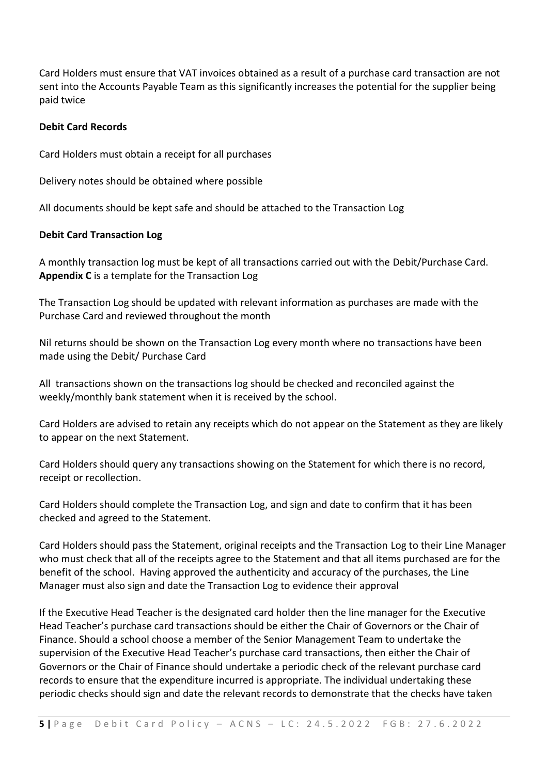Card Holders must ensure that VAT invoices obtained as a result of a purchase card transaction are not sent into the Accounts Payable Team as this significantly increases the potential for the supplier being paid twice

#### **Debit Card Records**

Card Holders must obtain a receipt for all purchases

Delivery notes should be obtained where possible

All documents should be kept safe and should be attached to the Transaction Log

#### **Debit Card Transaction Log**

A monthly transaction log must be kept of all transactions carried out with the Debit/Purchase Card. **Appendix C** is a template for the Transaction Log

The Transaction Log should be updated with relevant information as purchases are made with the Purchase Card and reviewed throughout the month

Nil returns should be shown on the Transaction Log every month where no transactions have been made using the Debit/ Purchase Card

All transactions shown on the transactions log should be checked and reconciled against the weekly/monthly bank statement when it is received by the school.

Card Holders are advised to retain any receipts which do not appear on the Statement as they are likely to appear on the next Statement.

Card Holders should query any transactions showing on the Statement for which there is no record, receipt or recollection.

Card Holders should complete the Transaction Log, and sign and date to confirm that it has been checked and agreed to the Statement.

Card Holders should pass the Statement, original receipts and the Transaction Log to their Line Manager who must check that all of the receipts agree to the Statement and that all items purchased are for the benefit of the school. Having approved the authenticity and accuracy of the purchases, the Line Manager must also sign and date the Transaction Log to evidence their approval

If the Executive Head Teacher is the designated card holder then the line manager for the Executive Head Teacher's purchase card transactions should be either the Chair of Governors or the Chair of Finance. Should a school choose a member of the Senior Management Team to undertake the supervision of the Executive Head Teacher's purchase card transactions, then either the Chair of Governors or the Chair of Finance should undertake a periodic check of the relevant purchase card records to ensure that the expenditure incurred is appropriate. The individual undertaking these periodic checks should sign and date the relevant records to demonstrate that the checks have taken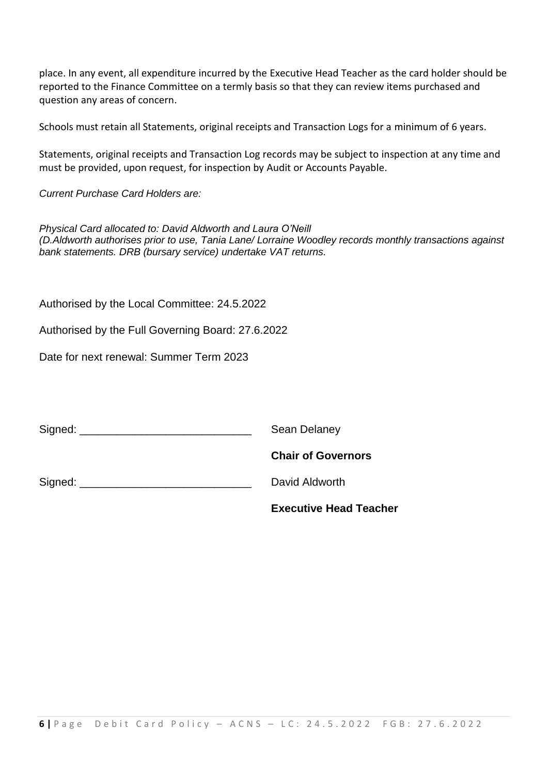place. In any event, all expenditure incurred by the Executive Head Teacher as the card holder should be reported to the Finance Committee on a termly basis so that they can review items purchased and question any areas of concern.

Schools must retain all Statements, original receipts and Transaction Logs for a minimum of 6 years.

Statements, original receipts and Transaction Log records may be subject to inspection at any time and must be provided, upon request, for inspection by Audit or Accounts Payable.

*Current Purchase Card Holders are:*

*Physical Card allocated to: David Aldworth and Laura O'Neill (D.Aldworth authorises prior to use, Tania Lane/ Lorraine Woodley records monthly transactions against bank statements. DRB (bursary service) undertake VAT returns.*

Authorised by the Local Committee: 24.5.2022

Authorised by the Full Governing Board: 27.6.2022

Date for next renewal: Summer Term 2023

Signed: \_\_\_\_\_\_\_\_\_\_\_\_\_\_\_\_\_\_\_\_\_\_\_\_\_\_\_\_ Sean Delaney

**Chair of Governors**

Signed: **Example 2** Signed: **New York 2 Signed: David Aldworth** 

**Executive Head Teacher**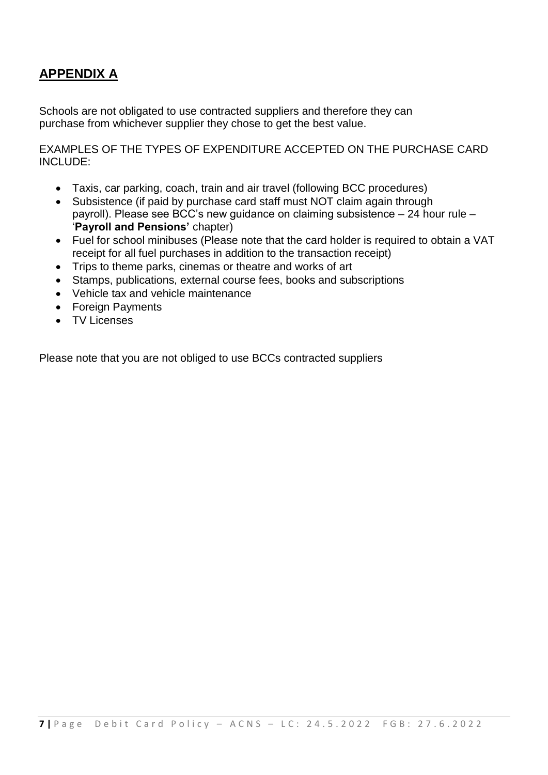## **APPENDIX A**

Schools are not obligated to use contracted suppliers and therefore they can purchase from whichever supplier they chose to get the best value.

EXAMPLES OF THE TYPES OF EXPENDITURE ACCEPTED ON THE PURCHASE CARD INCLUDE:

- Taxis, car parking, coach, train and air travel (following BCC procedures)
- Subsistence (if paid by purchase card staff must NOT claim again through payroll). Please see BCC's new guidance on claiming subsistence – 24 hour rule – '**Payroll and Pensions'** chapter)
- Fuel for school minibuses (Please note that the card holder is required to obtain a VAT receipt for all fuel purchases in addition to the transaction receipt)
- Trips to theme parks, cinemas or theatre and works of art
- Stamps, publications, external course fees, books and subscriptions
- Vehicle tax and vehicle maintenance
- Foreign Payments
- TV Licenses

Please note that you are not obliged to use BCCs contracted suppliers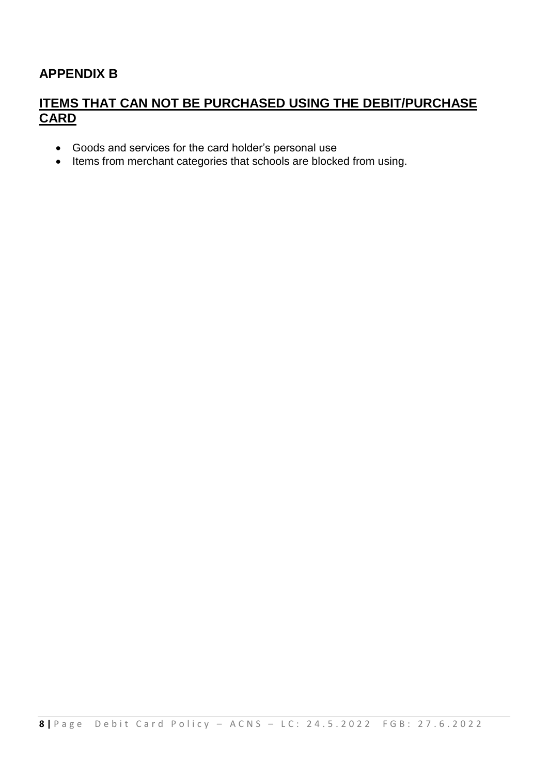## **APPENDIX B**

### **ITEMS THAT CAN NOT BE PURCHASED USING THE DEBIT/PURCHASE CARD**

- Goods and services for the card holder's personal use
- Items from merchant categories that schools are blocked from using.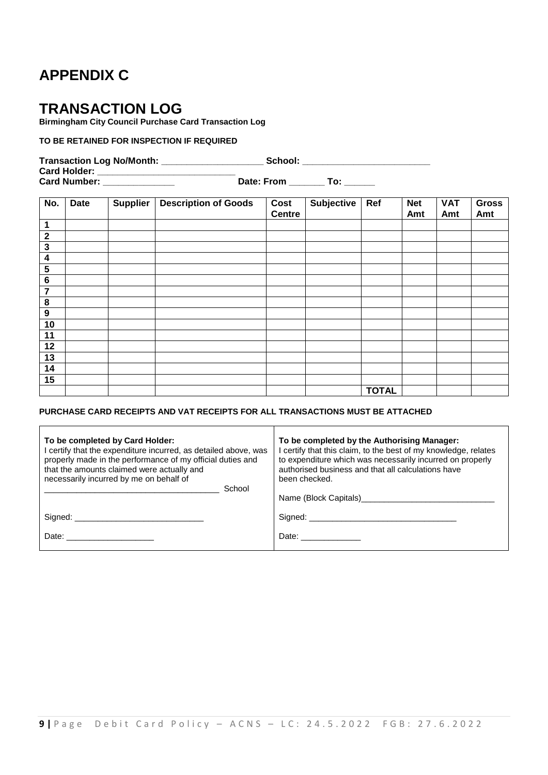## **APPENDIX C**

## **TRANSACTION LOG**

**Birmingham City Council Purchase Card Transaction Log**

#### **TO BE RETAINED FOR INSPECTION IF REQUIRED**

**Transaction Log No/Month: \_\_\_\_\_\_\_\_\_\_\_\_\_\_\_\_\_\_\_\_ School: \_\_\_\_\_\_\_\_\_\_\_\_\_\_\_\_\_\_\_\_\_\_\_\_\_**

**Card Holder: \_\_\_\_\_\_\_\_\_\_\_\_\_\_\_\_\_\_\_\_\_\_\_\_\_\_\_ Card Number: \_\_\_\_\_\_\_\_\_\_\_\_\_\_ Date: From \_\_\_\_\_\_\_ To: \_\_\_\_\_\_**

| No.                     | <b>Date</b> | <b>Supplier</b> | <b>Description of Goods</b> | Cost<br><b>Centre</b> | <b>Subjective</b> | Ref          | <b>Net</b><br>Amt | <b>VAT</b><br>Amt | <b>Gross</b><br>Amt |
|-------------------------|-------------|-----------------|-----------------------------|-----------------------|-------------------|--------------|-------------------|-------------------|---------------------|
| $\mathbf 1$             |             |                 |                             |                       |                   |              |                   |                   |                     |
| $\boldsymbol{2}$        |             |                 |                             |                       |                   |              |                   |                   |                     |
| $\mathbf{3}$            |             |                 |                             |                       |                   |              |                   |                   |                     |
| $\overline{\mathbf{4}}$ |             |                 |                             |                       |                   |              |                   |                   |                     |
| 5                       |             |                 |                             |                       |                   |              |                   |                   |                     |
| $\bf 6$                 |             |                 |                             |                       |                   |              |                   |                   |                     |
| 7                       |             |                 |                             |                       |                   |              |                   |                   |                     |
| 8                       |             |                 |                             |                       |                   |              |                   |                   |                     |
| $\boldsymbol{9}$        |             |                 |                             |                       |                   |              |                   |                   |                     |
| 10                      |             |                 |                             |                       |                   |              |                   |                   |                     |
| 11                      |             |                 |                             |                       |                   |              |                   |                   |                     |
| 12                      |             |                 |                             |                       |                   |              |                   |                   |                     |
| 13                      |             |                 |                             |                       |                   |              |                   |                   |                     |
| 14                      |             |                 |                             |                       |                   |              |                   |                   |                     |
| 15                      |             |                 |                             |                       |                   |              |                   |                   |                     |
|                         |             |                 |                             |                       |                   | <b>TOTAL</b> |                   |                   |                     |

#### **PURCHASE CARD RECEIPTS AND VAT RECEIPTS FOR ALL TRANSACTIONS MUST BE ATTACHED**

| To be completed by Card Holder:<br>I certify that the expenditure incurred, as detailed above, was<br>properly made in the performance of my official duties and<br>that the amounts claimed were actually and<br>necessarily incurred by me on behalf of<br>School | To be completed by the Authorising Manager:<br>I certify that this claim, to the best of my knowledge, relates<br>to expenditure which was necessarily incurred on properly<br>authorised business and that all calculations have<br>been checked. |  |  |
|---------------------------------------------------------------------------------------------------------------------------------------------------------------------------------------------------------------------------------------------------------------------|----------------------------------------------------------------------------------------------------------------------------------------------------------------------------------------------------------------------------------------------------|--|--|
|                                                                                                                                                                                                                                                                     |                                                                                                                                                                                                                                                    |  |  |
| Date: _________________                                                                                                                                                                                                                                             | Date: 2000                                                                                                                                                                                                                                         |  |  |